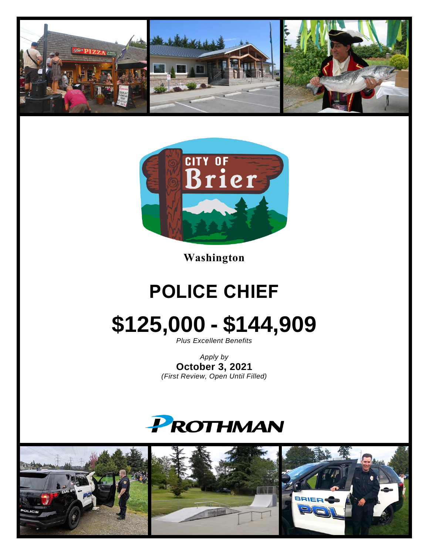



**Washington**

### **POLICE CHIEF**

# **\$125,000 - \$144,909**

*Plus Excellent Benefits*

*Apply by* **October 3, 2021** *(First Review, Open Until Filled)*

## PROTHMAN

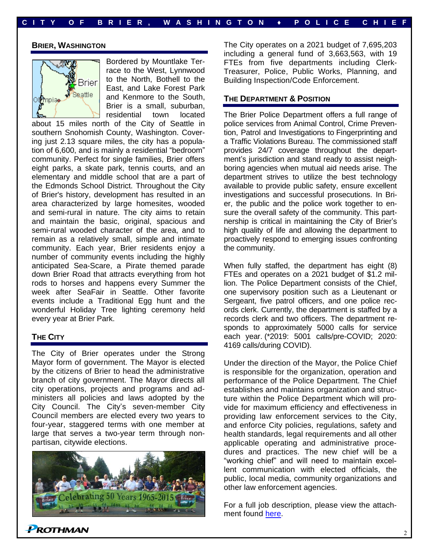#### **BRIER, WASHINGTON**



Bordered by Mountlake Terrace to the West, Lynnwood to the North, Bothell to the East, and Lake Forest Park and Kenmore to the South, Brier is a small, suburban, residential town located

about 15 miles north of the City of Seattle in southern Snohomish County, Washington. Covering just 2.13 square miles, the city has a population of 6,600, and is mainly a residential "bedroom" community. Perfect for single families, Brier offers eight parks, a skate park, tennis courts, and an elementary and middle school that are a part of the Edmonds School District. Throughout the City of Brier's history, development has resulted in an area characterized by large homesites, wooded and semi-rural in nature. The city aims to retain and maintain the basic, original, spacious and semi-rural wooded character of the area, and to remain as a relatively small, simple and intimate community. Each year, Brier residents enjoy a number of community events including the highly anticipated Sea-Scare, a Pirate themed parade down Brier Road that attracts everything from hot rods to horses and happens every Summer the week after SeaFair in Seattle. Other favorite events include a Traditional Egg hunt and the wonderful Holiday Tree lighting ceremony held every year at Brier Park.

#### **THE CITY**

The City of Brier operates under the Strong Mayor form of government. The Mayor is elected by the citizens of Brier to head the administrative branch of city government. The Mayor directs all city operations, projects and programs and administers all policies and laws adopted by the City Council. The City's seven-member City Council members are elected every two years to four-year, staggered terms with one member at large that serves a two-year term through nonpartisan, citywide elections.



The City operates on a 2021 budget of 7,695,203 including a general fund of 3,663,563, with 19 FTEs from five departments including Clerk-Treasurer, Police, Public Works, Planning, and Building Inspection/Code Enforcement.

#### **THE DEPARTMENT & POSITION**

The Brier Police Department offers a full range of police services from Animal Control, Crime Prevention, Patrol and Investigations to Fingerprinting and a Traffic Violations Bureau. The commissioned staff provides 24/7 coverage throughout the department's jurisdiction and stand ready to assist neighboring agencies when mutual aid needs arise. The department strives to utilize the best technology available to provide public safety, ensure excellent investigations and successful prosecutions. In Brier, the public and the police work together to ensure the overall safety of the community. This partnership is critical in maintaining the City of Brier's high quality of life and allowing the department to proactively respond to emerging issues confronting the community.

When fully staffed, the department has eight (8) FTEs and operates on a 2021 budget of \$1.2 million. The Police Department consists of the Chief, one supervisory position such as a Lieutenant or Sergeant, five patrol officers, and one police records clerk. Currently, the department is staffed by a records clerk and two officers. The department responds to approximately 5000 calls for service each year. (\*2019: 5001 calls/pre-COVID; 2020: 4169 calls/during COVID).

Under the direction of the Mayor, the Police Chief is responsible for the organization, operation and performance of the Police Department. The Chief establishes and maintains organization and structure within the Police Department which will provide for maximum efficiency and effectiveness in providing law enforcement services to the City, and enforce City policies, regulations, safety and health standards, legal requirements and all other applicable operating and administrative procedures and practices. The new chief will be a "working chief" and will need to maintain excellent communication with elected officials, the public, local media, community organizations and other law enforcement agencies.

For a full job description, please view the attachment found [here.](https://prothman.com/JobFiles/2892/Job%20Description.pdf)

 $P$ ROTHMAN